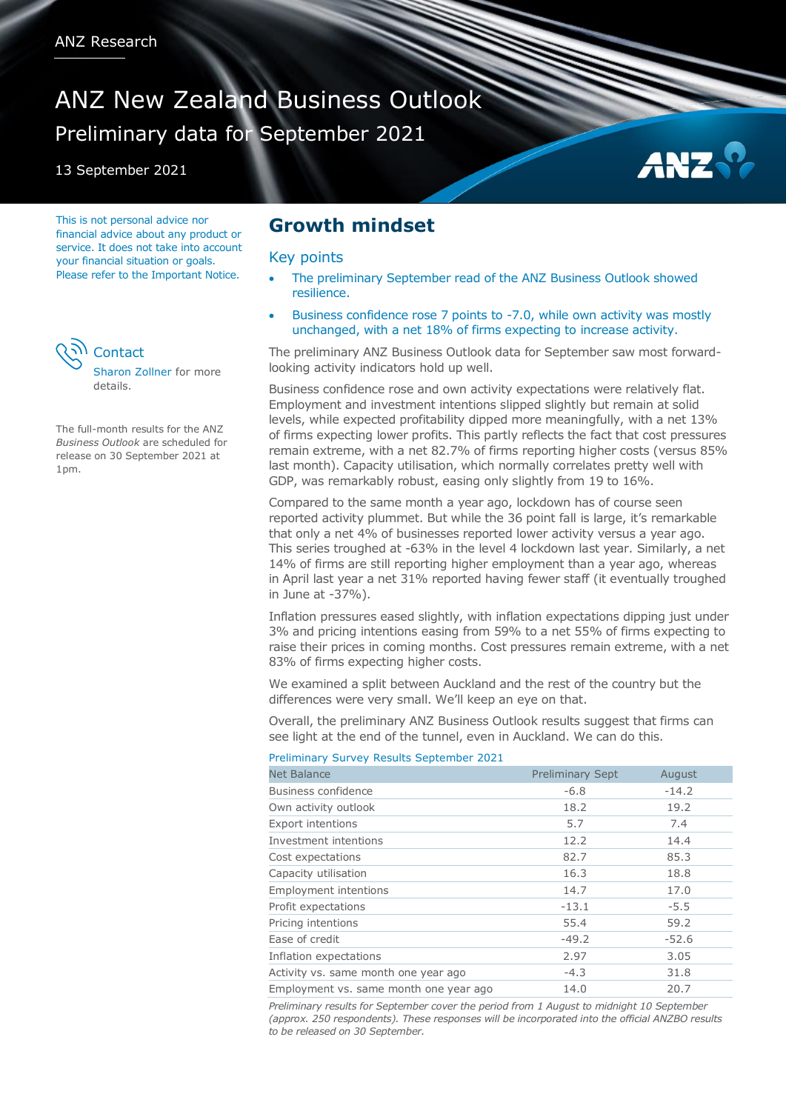# ANZ New Zealand Business Outlook Preliminary data for September 2021

13 September 2021

This is not personal advice nor financial advice about any product or service. It does not take into account your financial situation or goals. Please refer to the Important Notice.



The full-month results for the ANZ *Business Outlook* are scheduled for release on 30 September 2021 at 1pm.

## **Growth mindset**

#### Key points

 The preliminary September read of the ANZ Business Outlook showed resilience.

AN:

 Business confidence rose 7 points to -7.0, while own activity was mostly unchanged, with a net 18% of firms expecting to increase activity.

The preliminary ANZ Business Outlook data for September saw most forwardlooking activity indicators hold up well.

Business confidence rose and own activity expectations were relatively flat. Employment and investment intentions slipped slightly but remain at solid levels, while expected profitability dipped more meaningfully, with a net 13% of firms expecting lower profits. This partly reflects the fact that cost pressures remain extreme, with a net 82.7% of firms reporting higher costs (versus 85% last month). Capacity utilisation, which normally correlates pretty well with GDP, was remarkably robust, easing only slightly from 19 to 16%.

Compared to the same month a year ago, lockdown has of course seen reported activity plummet. But while the 36 point fall is large, it's remarkable that only a net 4% of businesses reported lower activity versus a year ago. This series troughed at -63% in the level 4 lockdown last year. Similarly, a net 14% of firms are still reporting higher employment than a year ago, whereas in April last year a net 31% reported having fewer staff (it eventually troughed in June at -37%).

Inflation pressures eased slightly, with inflation expectations dipping just under 3% and pricing intentions easing from 59% to a net 55% of firms expecting to raise their prices in coming months. Cost pressures remain extreme, with a net 83% of firms expecting higher costs.

We examined a split between Auckland and the rest of the country but the differences were very small. We'll keep an eye on that.

Overall, the preliminary ANZ Business Outlook results suggest that firms can see light at the end of the tunnel, even in Auckland. We can do this.

#### Preliminary Survey Results September 2021

| <b>Net Balance</b>                     | <b>Preliminary Sept</b> | August  |
|----------------------------------------|-------------------------|---------|
| Business confidence                    | $-6.8$                  | $-14.2$ |
| Own activity outlook                   | 18.2                    | 19.2    |
| <b>Export intentions</b>               | 5.7                     | 7.4     |
| Investment intentions                  | 12.2                    | 14.4    |
| Cost expectations                      | 82.7                    | 85.3    |
| Capacity utilisation                   | 16.3                    | 18.8    |
| <b>Employment intentions</b>           | 14.7                    | 17.0    |
| Profit expectations                    | $-13.1$                 | $-5.5$  |
| Pricing intentions                     | 55.4                    | 59.2    |
| Ease of credit                         | $-49.2$                 | $-52.6$ |
| Inflation expectations                 | 2.97                    | 3.05    |
| Activity vs. same month one year ago   | $-4.3$                  | 31.8    |
| Employment vs. same month one year ago | 14.0                    | 20.7    |

*Preliminary results for September cover the period from 1 August to midnight 10 September (approx. 250 respondents). These responses will be incorporated into the official ANZBO results to be released on 30 September.*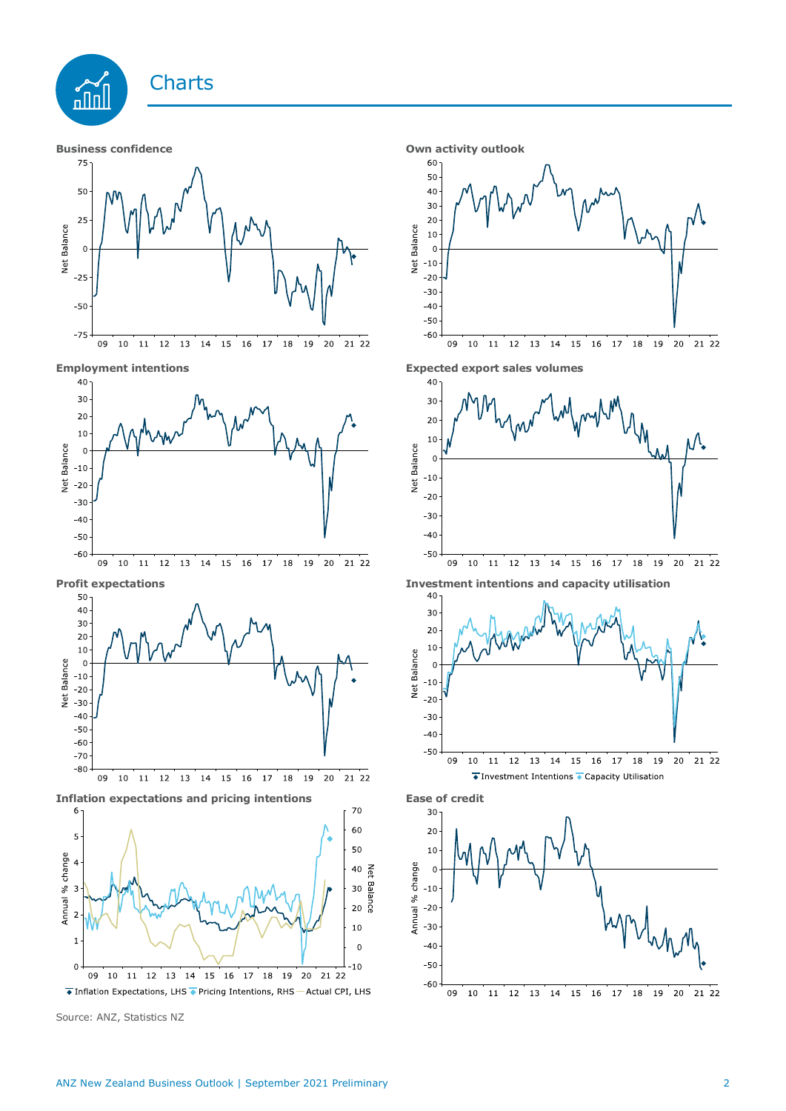

Source: ANZ, Statistics NZ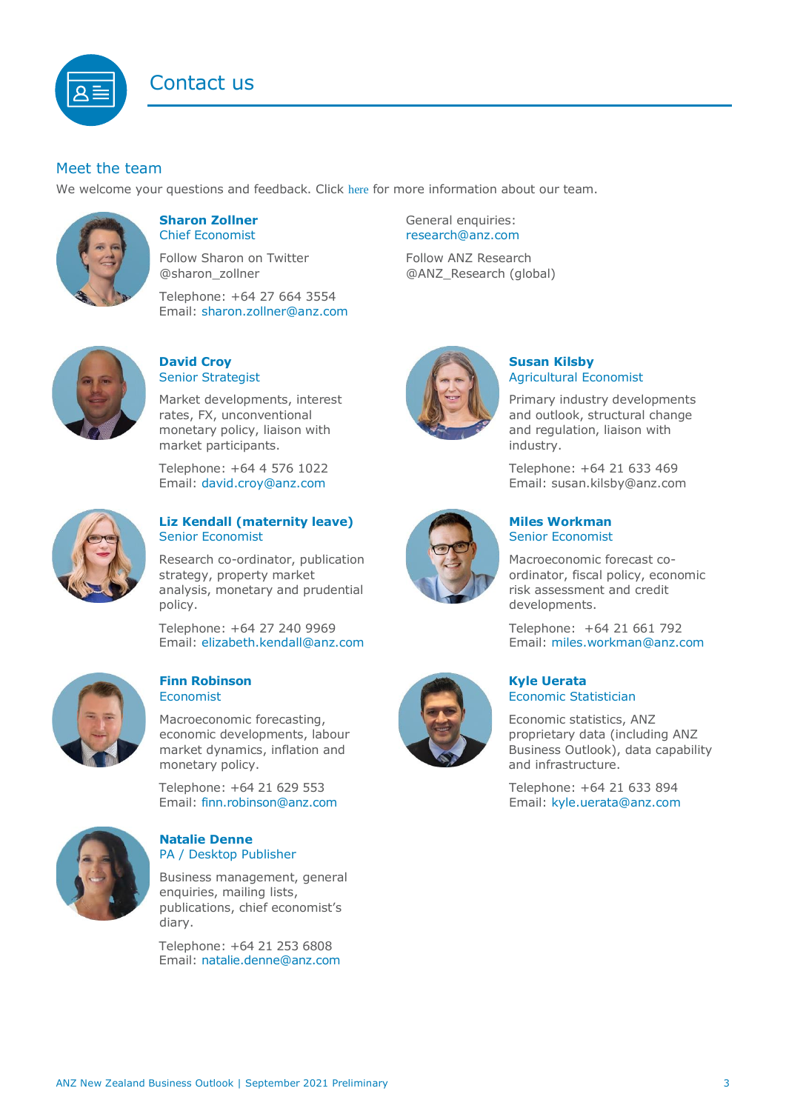

### Meet the team

We welcome your questions and feedback. Click [here](https://www.anz.co.nz/about-us/economic-markets-research/economics-research-team/) for more information about our team.



#### <span id="page-2-0"></span>**Sharon Zollner** Chief Economist

Follow Sharon on Twitter @sharon\_zollner

Telephone: +64 27 664 3554 Email: [sharon.zollner@anz.com](mailto:sharon.zollner@anz.com)



#### **David Croy** Senior Strategist

Market developments, interest rates, FX, unconventional monetary policy, liaison with market participants.

Telephone: +64 4 576 1022 Email: [david.croy@anz.com](mailto:david.croy@anz.com)



#### **Liz Kendall (maternity leave)** Senior Economist

Research co-ordinator, publication strategy, property market analysis, monetary and prudential policy.

Telephone: +64 27 240 9969 Email: [elizabeth.kendall@anz.com](mailto:Elizabeth.Kendall@anz.com)



#### **Finn Robinson** Economist

Macroeconomic forecasting, economic developments, labour market dynamics, inflation and monetary policy.

Telephone: +64 21 629 553 Email: [finn.robinson@anz.com](mailto:finn.robinson@anz.com)



#### **Natalie Denne** PA / Desktop Publisher

Business management, general enquiries, mailing lists, publications, chief economist's diary.

Telephone: +64 21 253 6808 Email: [natalie.denne@anz.com](mailto:natalie.denne@anz.com) General enquiries: [research@anz.com](mailto:research@anz.com)

Follow ANZ Research @ANZ\_Research (global)



#### **Susan Kilsby** Agricultural Economist

Primary industry developments and outlook, structural change and regulation, liaison with industry.

Telephone: +64 21 633 469 Email: [susan.kilsby@anz.com](mailto:susan.kilsby@anz.com)



#### **Miles Workman**  Senior Economist

Macroeconomic forecast coordinator, fiscal policy, economic risk assessment and credit developments.

Telephone: +64 21 661 792 Email: [miles.workman@anz.com](mailto:miles.workman@anz.com)



#### **Kyle Uerata** Economic Statistician

Economic statistics, ANZ proprietary data (including ANZ Business Outlook), data capability and infrastructure.

Telephone: +64 21 633 894 Email: [kyle.uerata@anz.com](mailto:Kyle.Uerata@anz.com)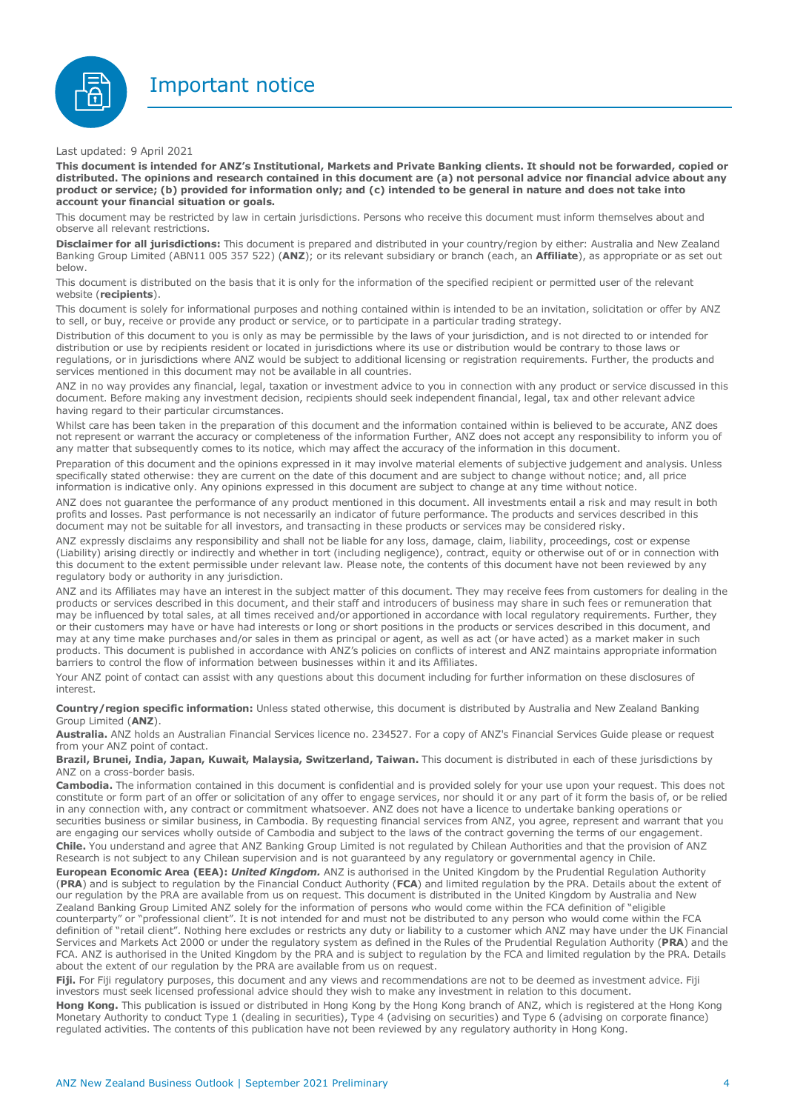



#### Last updated: 9 April 2021

This document is intended for ANZ's Institutional, Markets and Private Banking clients. It should not be forwarded, copied or distributed. The opinions and research contained in this document are (a) not personal advice nor financial advice about any product or service; (b) provided for information only; and (c) intended to be general in nature and does not take into **account your financial situation or goals.**

This document may be restricted by law in certain jurisdictions. Persons who receive this document must inform themselves about and observe all relevant restrictions.

**Disclaimer for all jurisdictions:** This document is prepared and distributed in your country/region by either: Australia and New Zealand Banking Group Limited (ABN11 005 357 522) (**ANZ**); or its relevant subsidiary or branch (each, an **Affiliate**), as appropriate or as set out below.

This document is distributed on the basis that it is only for the information of the specified recipient or permitted user of the relevant website (**recipients**).

This document is solely for informational purposes and nothing contained within is intended to be an invitation, solicitation or offer by ANZ to sell, or buy, receive or provide any product or service, or to participate in a particular trading strategy.

Distribution of this document to you is only as may be permissible by the laws of your jurisdiction, and is not directed to or intended for distribution or use by recipients resident or located in jurisdictions where its use or distribution would be contrary to those laws or regulations, or in jurisdictions where ANZ would be subject to additional licensing or registration requirements. Further, the products and services mentioned in this document may not be available in all countries.

ANZ in no way provides any financial, legal, taxation or investment advice to you in connection with any product or service discussed in this document. Before making any investment decision, recipients should seek independent financial, legal, tax and other relevant advice having regard to their particular circumstances.

Whilst care has been taken in the preparation of this document and the information contained within is believed to be accurate, ANZ does not represent or warrant the accuracy or completeness of the information Further, ANZ does not accept any responsibility to inform you of any matter that subsequently comes to its notice, which may affect the accuracy of the information in this document.

Preparation of this document and the opinions expressed in it may involve material elements of subjective judgement and analysis. Unless specifically stated otherwise: they are current on the date of this document and are subject to change without notice; and, all price information is indicative only. Any opinions expressed in this document are subject to change at any time without notice.

ANZ does not guarantee the performance of any product mentioned in this document. All investments entail a risk and may result in both profits and losses. Past performance is not necessarily an indicator of future performance. The products and services described in this document may not be suitable for all investors, and transacting in these products or services may be considered risky.

ANZ expressly disclaims any responsibility and shall not be liable for any loss, damage, claim, liability, proceedings, cost or expense (Liability) arising directly or indirectly and whether in tort (including negligence), contract, equity or otherwise out of or in connection with this document to the extent permissible under relevant law. Please note, the contents of this document have not been reviewed by any regulatory body or authority in any jurisdiction.

ANZ and its Affiliates may have an interest in the subject matter of this document. They may receive fees from customers for dealing in the products or services described in this document, and their staff and introducers of business may share in such fees or remuneration that may be influenced by total sales, at all times received and/or apportioned in accordance with local regulatory requirements. Further, they or their customers may have or have had interests or long or short positions in the products or services described in this document, and may at any time make purchases and/or sales in them as principal or agent, as well as act (or have acted) as a market maker in such products. This document is published in accordance with ANZ's policies on conflicts of interest and ANZ maintains appropriate information barriers to control the flow of information between businesses within it and its Affiliates.

Your ANZ point of contact can assist with any questions about this document including for further information on these disclosures of interest.

**Country/region specific information:** Unless stated otherwise, this document is distributed by Australia and New Zealand Banking Group Limited (**ANZ**).

**Australia.** ANZ holds an Australian Financial Services licence no. 234527. For a copy of ANZ's Financial Services Guide please or request from your ANZ point of contact.

**Brazil, Brunei, India, Japan, Kuwait, Malaysia, Switzerland, Taiwan.** This document is distributed in each of these jurisdictions by ANZ on a cross-border basis.

**Cambodia.** The information contained in this document is confidential and is provided solely for your use upon your request. This does not constitute or form part of an offer or solicitation of any offer to engage services, nor should it or any part of it form the basis of, or be relied in any connection with, any contract or commitment whatsoever. ANZ does not have a licence to undertake banking operations or securities business or similar business, in Cambodia. By requesting financial services from ANZ, you agree, represent and warrant that you are engaging our services wholly outside of Cambodia and subject to the laws of the contract governing the terms of our engagement. **Chile.** You understand and agree that ANZ Banking Group Limited is not regulated by Chilean Authorities and that the provision of ANZ Research is not subject to any Chilean supervision and is not guaranteed by any regulatory or governmental agency in Chile.

**European Economic Area (EEA):** *United Kingdom.* ANZ is authorised in the United Kingdom by the Prudential Regulation Authority (**PRA**) and is subject to regulation by the Financial Conduct Authority (**FCA**) and limited regulation by the PRA. Details about the extent of our regulation by the PRA are available from us on request. This document is distributed in the United Kingdom by Australia and New Zealand Banking Group Limited ANZ solely for the information of persons who would come within the FCA definition of "eligible counterparty" or "professional client". It is not intended for and must not be distributed to any person who would come within the FCA definition of "retail client". Nothing here excludes or restricts any duty or liability to a customer which ANZ may have under the UK Financial Services and Markets Act 2000 or under the regulatory system as defined in the Rules of the Prudential Regulation Authority (**PRA**) and the FCA. ANZ is authorised in the United Kingdom by the PRA and is subject to regulation by the FCA and limited regulation by the PRA. Details about the extent of our regulation by the PRA are available from us on request.

**Fiji.** For Fiji regulatory purposes, this document and any views and recommendations are not to be deemed as investment advice. Fiji investors must seek licensed professional advice should they wish to make any investment in relation to this document.

**Hong Kong.** This publication is issued or distributed in Hong Kong by the Hong Kong branch of ANZ, which is registered at the Hong Kong Monetary Authority to conduct Type 1 (dealing in securities), Type 4 (advising on securities) and Type 6 (advising on corporate finance) regulated activities. The contents of this publication have not been reviewed by any regulatory authority in Hong Kong.